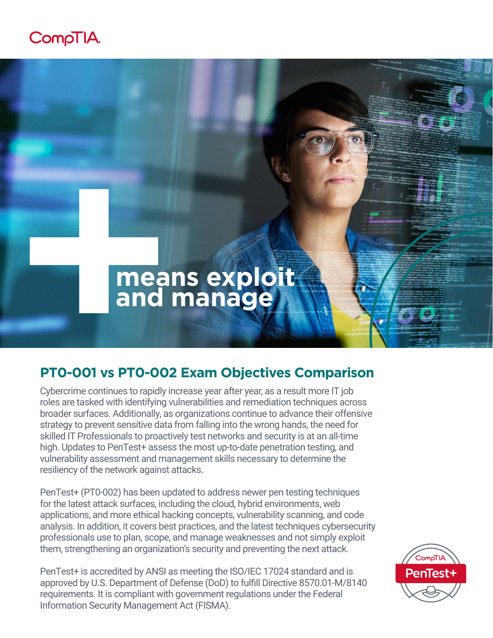## CompTIA.



## **PT0-001 vs PT0-002 Exam Objectives Comparison**

Cybercrime continues to rapidly increase year after year, as a result more IT job roles are tasked with identifying vulnerabilities and remediation techniques across broader surfaces. Additionally, as organizations continue to advance their offensive strategy to prevent sensitive data from falling into the wrong hands, the need for skilled IT Professionals to proactively test networks and security is at an all-time high. Updates to PenTest+ assess the most up-to-date penetration testing, and vulnerability assessment and management skills necessary to determine the resiliency of the network against attacks.

PenTest+ (PT0-002) has been updated to address newer pen testing techniques for the latest attack surfaces, including the cloud, hybrid environments, web applications, and more ethical hacking concepts, vulnerability scanning, and code analysis. In addition, it covers best practices, and the latest techniques cybersecurity professionals use to plan, scope, and manage weaknesses and not simply exploit them, strengthening an organization's security and preventing the next attack.

PenTest+ is accredited by ANSI as meeting the ISO/IEC 17024 standard and is approved by U.S. Department of Defense (DoD) to fulfill Directive 8570.01-M/8140 requirements. It is compliant with government regulations under the Federal Information Security Management Act (FISMA).

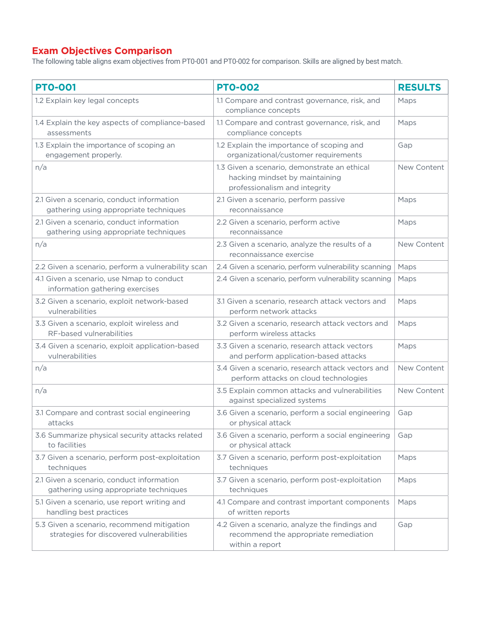## **Exam Objectives Comparison**

The following table aligns exam objectives from PT0-001 and PT0-002 for comparison. Skills are aligned by best match.

| <b>PTO-001</b>                                                                          | <b>PTO-002</b>                                                                                                  | <b>RESULTS</b> |
|-----------------------------------------------------------------------------------------|-----------------------------------------------------------------------------------------------------------------|----------------|
| 1.2 Explain key legal concepts                                                          | 1.1 Compare and contrast governance, risk, and<br>compliance concepts                                           | Maps           |
| 1.4 Explain the key aspects of compliance-based<br>assessments                          | 1.1 Compare and contrast governance, risk, and<br>compliance concepts                                           | Maps           |
| 1.3 Explain the importance of scoping an<br>engagement properly.                        | 1.2 Explain the importance of scoping and<br>organizational/customer requirements                               | Gap            |
| n/a                                                                                     | 1.3 Given a scenario, demonstrate an ethical<br>hacking mindset by maintaining<br>professionalism and integrity | New Content    |
| 2.1 Given a scenario, conduct information<br>gathering using appropriate techniques     | 2.1 Given a scenario, perform passive<br>reconnaissance                                                         | Maps           |
| 2.1 Given a scenario, conduct information<br>gathering using appropriate techniques     | 2.2 Given a scenario, perform active<br>reconnaissance                                                          | Maps           |
| n/a                                                                                     | 2.3 Given a scenario, analyze the results of a<br>reconnaissance exercise                                       | New Content    |
| 2.2 Given a scenario, perform a vulnerability scan                                      | 2.4 Given a scenario, perform vulnerability scanning                                                            | Maps           |
| 4.1 Given a scenario, use Nmap to conduct<br>information gathering exercises            | 2.4 Given a scenario, perform vulnerability scanning                                                            | Maps           |
| 3.2 Given a scenario, exploit network-based<br>vulnerabilities                          | 3.1 Given a scenario, research attack vectors and<br>perform network attacks                                    | Maps           |
| 3.3 Given a scenario, exploit wireless and<br>RF-based vulnerabilities                  | 3.2 Given a scenario, research attack vectors and<br>perform wireless attacks                                   | Maps           |
| 3.4 Given a scenario, exploit application-based<br>vulnerabilities                      | 3.3 Given a scenario, research attack vectors<br>and perform application-based attacks                          | Maps           |
| n/a                                                                                     | 3.4 Given a scenario, research attack vectors and<br>perform attacks on cloud technologies                      | New Content    |
| n/a                                                                                     | 3.5 Explain common attacks and vulnerabilities<br>against specialized systems                                   | New Content    |
| 3.1 Compare and contrast social engineering<br>attacks                                  | 3.6 Given a scenario, perform a social engineering<br>or physical attack                                        | Gap            |
| 3.6 Summarize physical security attacks related<br>to facilities                        | 3.6 Given a scenario, perform a social engineering<br>or physical attack                                        | Gap            |
| 3.7 Given a scenario, perform post-exploitation<br>techniques                           | 3.7 Given a scenario, perform post-exploitation<br>techniques                                                   | Maps           |
| 2.1 Given a scenario, conduct information<br>gathering using appropriate techniques     | 3.7 Given a scenario, perform post-exploitation<br>techniques                                                   | Maps           |
| 5.1 Given a scenario, use report writing and<br>handling best practices                 | 4.1 Compare and contrast important components<br>of written reports                                             | Maps           |
| 5.3 Given a scenario, recommend mitigation<br>strategies for discovered vulnerabilities | 4.2 Given a scenario, analyze the findings and<br>recommend the appropriate remediation<br>within a report      | Gap            |